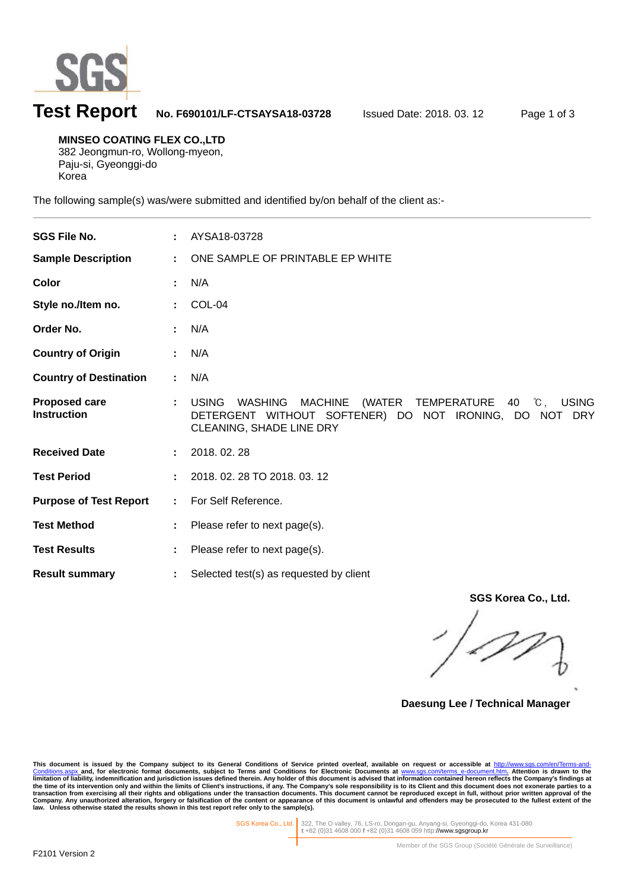

# **Test Report No. F690101/LF-CTSAYSA18-03728** Issued Date: 2018. 03. 12 Page 1 of 3

**MINSEO COATING FLEX CO.,LTD**  382 Jeongmun-ro, Wollong-myeon, Paju-si, Gyeonggi-do

Korea

l

The following sample(s) was/were submitted and identified by/on behalf of the client as:-

| <b>SGS File No.</b>                        |                           | AYSA18-03728                                                                                                                                                |
|--------------------------------------------|---------------------------|-------------------------------------------------------------------------------------------------------------------------------------------------------------|
| <b>Sample Description</b>                  | ÷.                        | ONE SAMPLE OF PRINTABLE EP WHITE                                                                                                                            |
| Color                                      |                           | N/A                                                                                                                                                         |
| Style no./Item no.                         |                           | COL-04                                                                                                                                                      |
| Order No.                                  |                           | N/A                                                                                                                                                         |
| <b>Country of Origin</b>                   |                           | N/A                                                                                                                                                         |
| <b>Country of Destination</b>              | ÷.                        | N/A                                                                                                                                                         |
| <b>Proposed care</b><br><b>Instruction</b> |                           | (WATER TEMPERATURE 40 °C, USING<br><b>USING</b><br>WASHING<br>MACHINE<br>DETERGENT WITHOUT SOFTENER) DO NOT IRONING, DO NOT DRY<br>CLEANING, SHADE LINE DRY |
| <b>Received Date</b>                       |                           | 2018.02.28                                                                                                                                                  |
| <b>Test Period</b>                         |                           | 2018. 02. 28 TO 2018. 03. 12                                                                                                                                |
| <b>Purpose of Test Report</b>              | $\mathbb{Z}^{\mathbb{Z}}$ | For Self Reference.                                                                                                                                         |
| <b>Test Method</b>                         |                           | Please refer to next page(s).                                                                                                                               |
| <b>Test Results</b>                        |                           | Please refer to next page(s).                                                                                                                               |
| <b>Result summary</b>                      | ÷.                        | Selected test(s) as requested by client                                                                                                                     |

**SGS Korea Co., Ltd.** 

**Daesung Lee / Technical Manager** 

This document is issued by the Company subject to its General Conditions of Service printed overleaf, available on request or accessible at <u>http://www.sgs.com/en/Terms-and-</u><br><u>Conditions.aspx a</u>nd, for electronic format do limitation of liability, indemnification and jurisdiction issues defined therein. Any holder of this document is advised that information contained hereon reflects the Company's findings at<br>the time of its intervention onl

SGS Korea Co., Ltd. 322, The O valley, 76, LS-ro, Dongan-gu, Anyang-si, Gyeonggi-do, Korea 431-080 **t** +82 (0)31 4608 000 **f** +82 (0)31 4608 059 http://www.sgsgroup.kr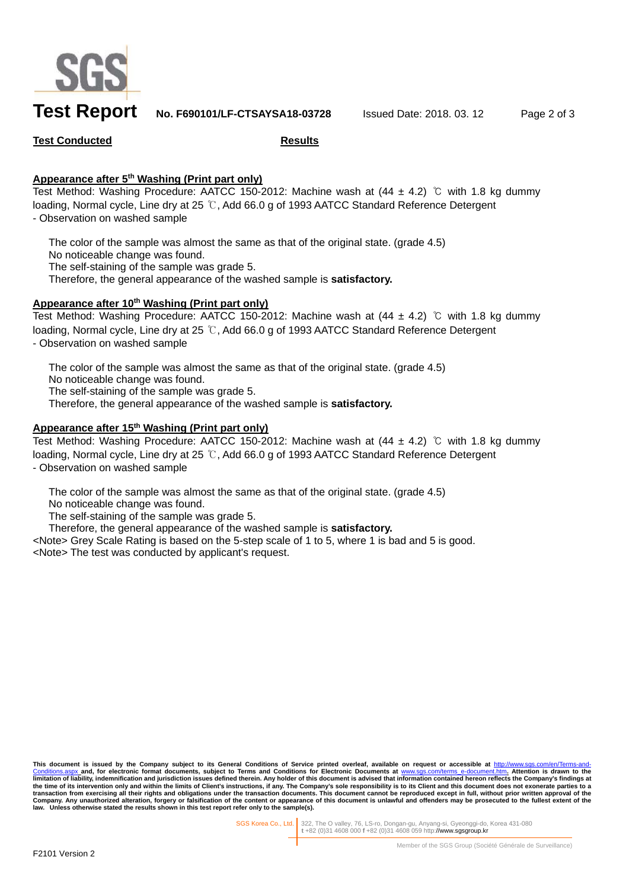

## **Test Report No. F690101/LF-CTSAYSA18-03728** Issued Date: 2018. 03. 12 Page 2 of 3

### **Test Conducted Results**

### **Appearance after 5th Washing (Print part only)**

Test Method: Washing Procedure: AATCC 150-2012: Machine wash at  $(44 \pm 4.2)$  °C with 1.8 kg dummy loading, Normal cycle, Line dry at 25 ℃, Add 66.0 g of 1993 AATCC Standard Reference Detergent - Observation on washed sample

 The color of the sample was almost the same as that of the original state. (grade 4.5) No noticeable change was found. The self-staining of the sample was grade 5. Therefore, the general appearance of the washed sample is **satisfactory.**

### Appearance after 10<sup>th</sup> Washing (Print part only)

Test Method: Washing Procedure: AATCC 150-2012: Machine wash at  $(44 \pm 4.2)$  °C with 1.8 kg dummy loading, Normal cycle, Line dry at 25 ℃, Add 66.0 g of 1993 AATCC Standard Reference Detergent - Observation on washed sample

 The color of the sample was almost the same as that of the original state. (grade 4.5) No noticeable change was found. The self-staining of the sample was grade 5. Therefore, the general appearance of the washed sample is **satisfactory.**

### **Appearance after 15th Washing (Print part only)**

Test Method: Washing Procedure: AATCC 150-2012: Machine wash at (44 ± 4.2) ℃ with 1.8 kg dummy loading, Normal cycle, Line dry at 25 ℃, Add 66.0 g of 1993 AATCC Standard Reference Detergent - Observation on washed sample

The color of the sample was almost the same as that of the original state. (grade 4.5)

No noticeable change was found.

The self-staining of the sample was grade 5.

Therefore, the general appearance of the washed sample is **satisfactory.**

<Note> Grey Scale Rating is based on the 5-step scale of 1 to 5, where 1 is bad and 5 is good. <Note> The test was conducted by applicant's request.

This document is issued by the Company subject to its General Conditions of Service printed overleaf, available on request or accessible at <u>http://www.sgs.com/en/Terms-and-</u><br><u>Conditions.aspx a</u>nd, for electronic format do limitation of liability, indemnification and jurisdiction issues defined therein. Any holder of this document is advised that information contained hereon reflects the Company's findings at<br>the time of its intervention onl **law. Unless otherwise stated the results shown in this test report refer only to the sample(s).** 

SGS Korea Co., Ltd. 322, The O valley, 76, LS-ro, Dongan-gu, Anyang-si, Gyeonggi-do, Korea 431-080 **t** +82 (0)31 4608 000 **f** +82 (0)31 4608 059 http://www.sgsgroup.kr